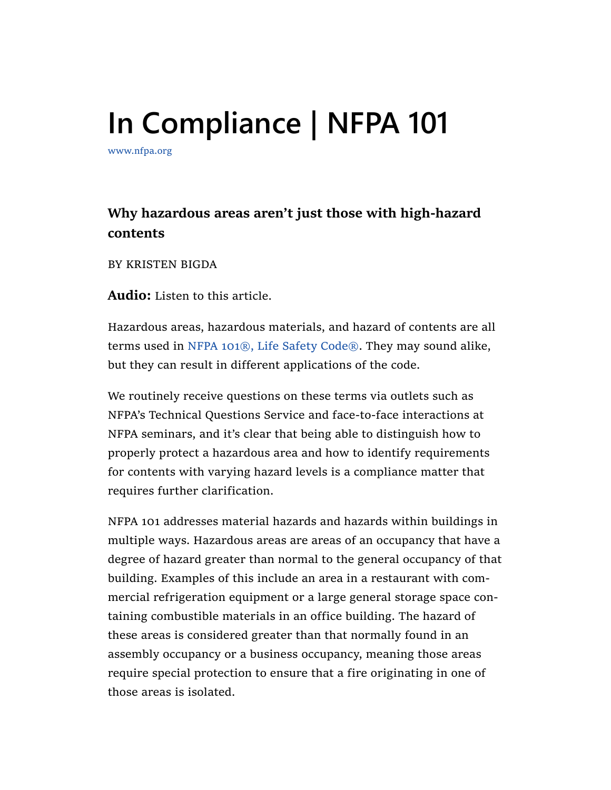## In Compliance | NFPA 101

www.nfpa.org

## **Why hazardous areas aren't just those with high-hazard contents**

BY KRISTEN BIGDA

**Audio:** Listen to this article.

Hazardous areas, hazardous materials, and hazard of contents are all terms used in NFPA 101®, Life Safety Code®. They may sound alike, but they can result in different applications of the code.

We routinely receive questions on these terms via outlets such as NFPA's Technical Questions Service and face‐to‐face interactions at NFPA seminars, and it's clear that being able to distinguish how to properly protect a hazardous area and how to identify requirements for contents with varying hazard levels is a compliance matter that requires further clarification.

NFPA 101 addresses material hazards and hazards within buildings in multiple ways. Hazardous areas are areas of an occupancy that have a degree of hazard greater than normal to the general occupancy of that building. Examples of this include an area in a restaurant with com‐ mercial refrigeration equipment or a large general storage space con‐ taining combustible materials in an office building. The hazard of these areas is considered greater than that normally found in an assembly occupancy or a business occupancy, meaning those areas require special protection to ensure that a fire originating in one of those areas is isolated.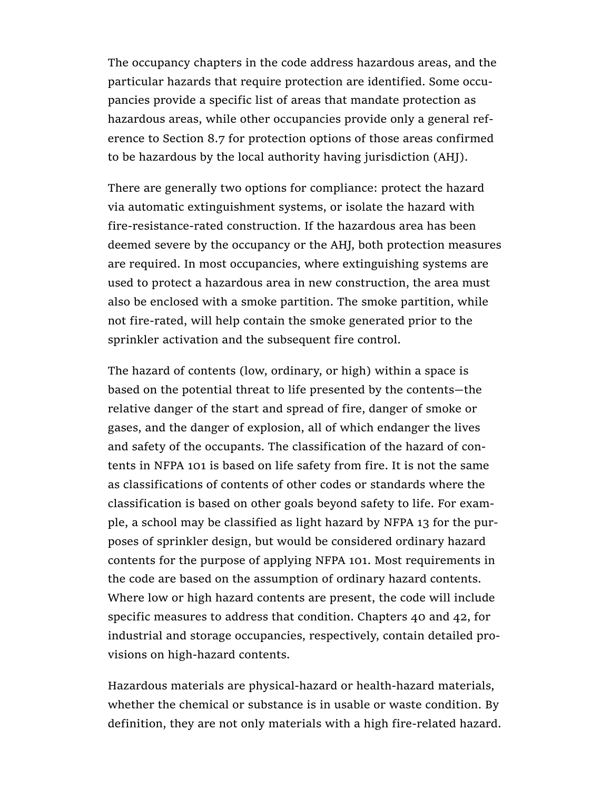The occupancy chapters in the code address hazardous areas, and the particular hazards that require protection are identified. Some occu‐ pancies provide a specific list of areas that mandate protection as hazardous areas, while other occupancies provide only a general ref‐ erence to Section 8.7 for protection options of those areas confirmed to be hazardous by the local authority having jurisdiction (AHJ).

There are generally two options for compliance: protect the hazard via automatic extinguishment systems, or isolate the hazard with fire-resistance-rated construction. If the hazardous area has been deemed severe by the occupancy or the AHJ, both protection measures are required. In most occupancies, where extinguishing systems are used to protect a hazardous area in new construction, the area must also be enclosed with a smoke partition. The smoke partition, while not fire‐rated, will help contain the smoke generated prior to the sprinkler activation and the subsequent fire control.

The hazard of contents (low, ordinary, or high) within a space is based on the potential threat to life presented by the contents—the relative danger of the start and spread of fire, danger of smoke or gases, and the danger of explosion, all of which endanger the lives and safety of the occupants. The classification of the hazard of con‐ tents in NFPA 101 is based on life safety from fire. It is not the same as classifications of contents of other codes or standards where the classification is based on other goals beyond safety to life. For exam‐ ple, a school may be classified as light hazard by NFPA 13 for the pur‐ poses of sprinkler design, but would be considered ordinary hazard contents for the purpose of applying NFPA 101. Most requirements in the code are based on the assumption of ordinary hazard contents. Where low or high hazard contents are present, the code will include specific measures to address that condition. Chapters 40 and 42, for industrial and storage occupancies, respectively, contain detailed pro‐ visions on high‐hazard contents.

Hazardous materials are physical‐hazard or health‐hazard materials, whether the chemical or substance is in usable or waste condition. By definition, they are not only materials with a high fire‐related hazard.